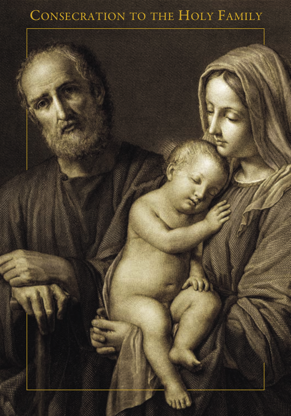## CONSECRATION TO THE HOLY FAMILY